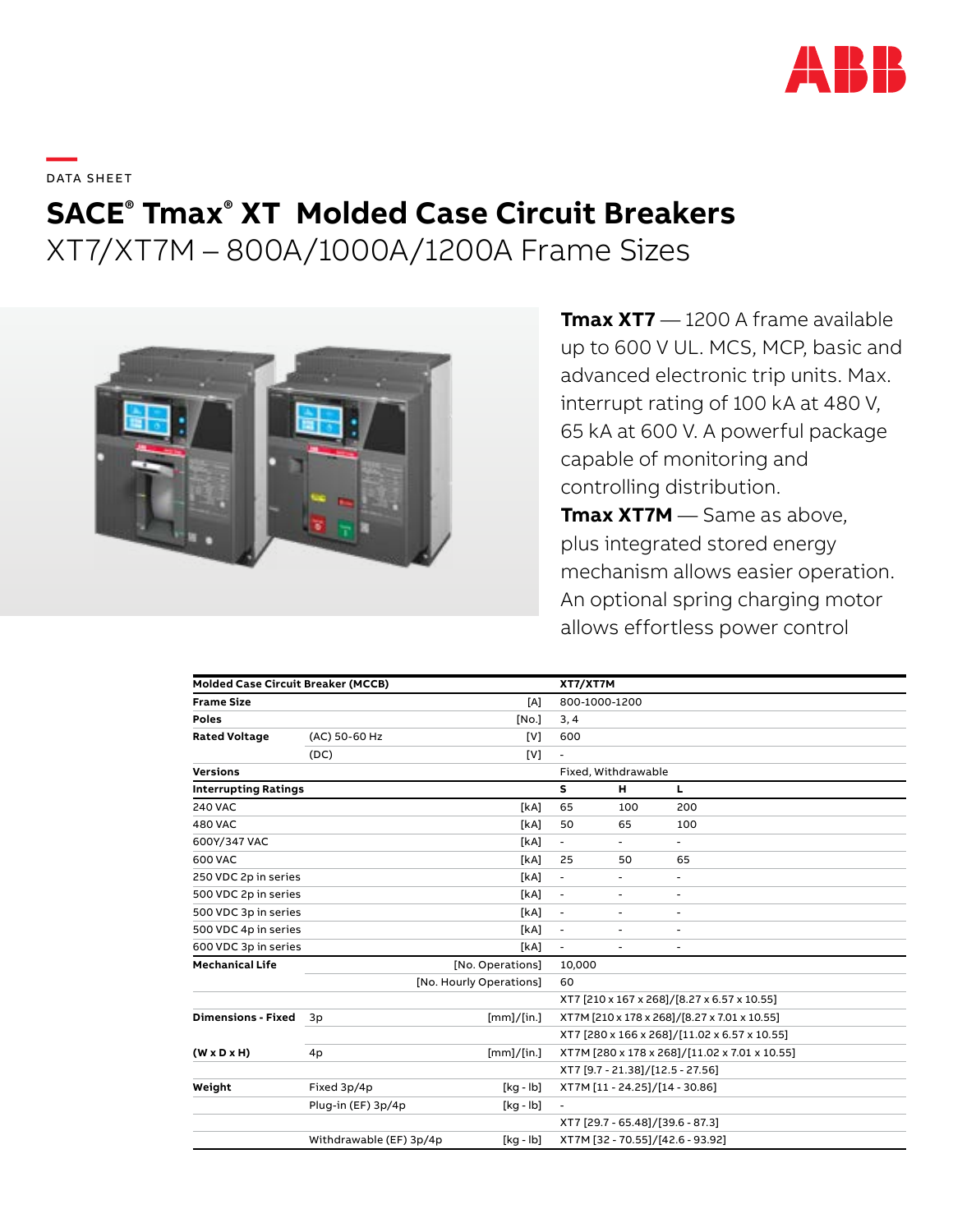

**—**  DATA SHEET

# **SACE® Tmax® XT Molded Case Circuit Breakers**

XT7/XT7M – 800A/1000A/1200A Frame Sizes



**Tmax XT7** — 1200 A frame available up to 600 V UL. MCS, MCP, basic and advanced electronic trip units. Max. interrupt rating of 100 kA at 480 V, 65 kA at 600 V. A powerful package capable of monitoring and controlling distribution. **Tmax XT7M** — Same as above, plus integrated stored energy mechanism allows easier operation. An optional spring charging motor

allows effortless power control

| <b>Molded Case Circuit Breaker (MCCB)</b> |                         |                  | XT7/XT7M                                      |                          |     |  |
|-------------------------------------------|-------------------------|------------------|-----------------------------------------------|--------------------------|-----|--|
| <b>Frame Size</b>                         |                         | [A]              | 800-1000-1200                                 |                          |     |  |
| Poles                                     |                         | [No.]            | 3, 4                                          |                          |     |  |
| <b>Rated Voltage</b>                      | (AC) 50-60 Hz           | [V]              | 600                                           |                          |     |  |
|                                           | (DC)                    | [V]              |                                               |                          |     |  |
| <b>Versions</b>                           |                         |                  |                                               | Fixed, Withdrawable      |     |  |
| <b>Interrupting Ratings</b>               |                         |                  | s                                             | н                        | L.  |  |
| <b>240 VAC</b>                            |                         | [kA]             | 65                                            | 100                      | 200 |  |
| <b>480 VAC</b>                            |                         | [kA]             | 50                                            | 65                       | 100 |  |
| 600Y/347 VAC                              |                         | [kA]             | $\overline{\phantom{0}}$                      | $\overline{\phantom{a}}$ | ٠   |  |
| 600 VAC                                   |                         | [kA]             | 25                                            | 50                       | 65  |  |
| 250 VDC 2p in series                      |                         | [kA]             | $\overline{\phantom{a}}$                      | $\overline{\phantom{a}}$ | ۰   |  |
| 500 VDC 2p in series                      |                         | [kA]             | ÷,                                            | $\overline{\phantom{a}}$ | ۰   |  |
| 500 VDC 3p in series                      |                         | [kA]             | $\overline{\phantom{a}}$                      | $\overline{\phantom{a}}$ | ٠   |  |
| 500 VDC 4p in series                      |                         | [kA]             | $\blacksquare$                                | $\overline{\phantom{a}}$ | ۰   |  |
| 600 VDC 3p in series                      |                         | [kA]             |                                               |                          |     |  |
| <b>Mechanical Life</b>                    |                         | [No. Operations] | 10,000                                        |                          |     |  |
|                                           | [No. Hourly Operations] |                  |                                               | 60                       |     |  |
|                                           |                         |                  | XT7 [210 x 167 x 268]/[8.27 x 6.57 x 10.55]   |                          |     |  |
| <b>Dimensions - Fixed</b>                 | 3p                      | [mm]/[in.]       | XT7M [210 x 178 x 268]/[8.27 x 7.01 x 10.55]  |                          |     |  |
|                                           |                         |                  | XT7 [280 x 166 x 268]/[11.02 x 6.57 x 10.55]  |                          |     |  |
| $(W \times D \times H)$                   | 4p                      | [mm]/[in.]       | XT7M [280 x 178 x 268]/[11.02 x 7.01 x 10.55] |                          |     |  |
|                                           |                         |                  | XT7 [9.7 - 21.38]/[12.5 - 27.56]              |                          |     |  |
| Weight                                    | Fixed 3p/4p             | $[kq - lb]$      | XT7M [11 - 24.25]/[14 - 30.86]                |                          |     |  |
|                                           | Plug-in (EF) 3p/4p      | $[kq - lb]$      | $\overline{\phantom{a}}$                      |                          |     |  |
|                                           |                         |                  | XT7 [29.7 - 65.48]/[39.6 - 87.3]              |                          |     |  |
|                                           | Withdrawable (EF) 3p/4p | $[kq - lb]$      | XT7M [32 - 70.55]/[42.6 - 93.92]              |                          |     |  |